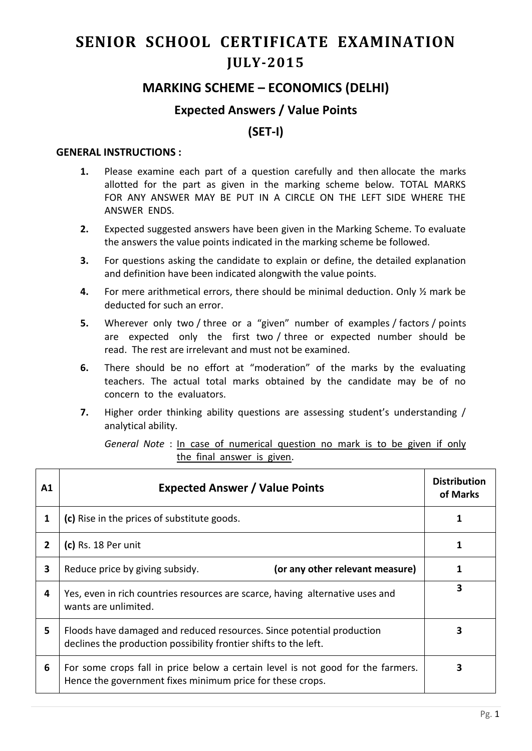# **SENIOR SCHOOL CERTIFICATE EXAMINATION JULY-2015**

## **MARKING SCHEME – ECONOMICS (DELHI)**

### **Expected Answers / Value Points**

## **(SET-I)**

#### **GENERAL INSTRUCTIONS :**

- **1.** Please examine each part of a question carefully and then allocate the marks allotted for the part as given in the marking scheme below. TOTAL MARKS FOR ANY ANSWER MAY BE PUT IN A CIRCLE ON THE LEFT SIDE WHERE THE ANSWER ENDS.
- **2.** Expected suggested answers have been given in the Marking Scheme. To evaluate the answers the value points indicated in the marking scheme be followed.
- **3.** For questions asking the candidate to explain or define, the detailed explanation and definition have been indicated alongwith the value points.
- **4.** For mere arithmetical errors, there should be minimal deduction. Only ½ mark be deducted for such an error.
- **5.** Wherever only two / three or a "given" number of examples / factors / points are expected only the first two / three or expected number should be read. The rest are irrelevant and must not be examined.
- **6.** There should be no effort at "moderation" of the marks by the evaluating teachers. The actual total marks obtained by the candidate may be of no concern to the evaluators.
- **7.** Higher order thinking ability questions are assessing student's understanding / analytical ability.

| General Note : In case of numerical question no mark is to be given if only |  |                            |  |  |  |  |  |
|-----------------------------------------------------------------------------|--|----------------------------|--|--|--|--|--|
|                                                                             |  | the final answer is given. |  |  |  |  |  |

| A1           | <b>Expected Answer / Value Points</b>                                                                                                        | <b>Distribution</b><br>of Marks |
|--------------|----------------------------------------------------------------------------------------------------------------------------------------------|---------------------------------|
| 1            | (c) Rise in the prices of substitute goods.                                                                                                  |                                 |
| $\mathbf{2}$ | (c) Rs. 18 Per unit                                                                                                                          |                                 |
| 3            | (or any other relevant measure)<br>Reduce price by giving subsidy.                                                                           |                                 |
| 4            | Yes, even in rich countries resources are scarce, having alternative uses and<br>wants are unlimited.                                        | 3                               |
| 5            | Floods have damaged and reduced resources. Since potential production<br>declines the production possibility frontier shifts to the left.    | 3                               |
| 6            | For some crops fall in price below a certain level is not good for the farmers.<br>Hence the government fixes minimum price for these crops. |                                 |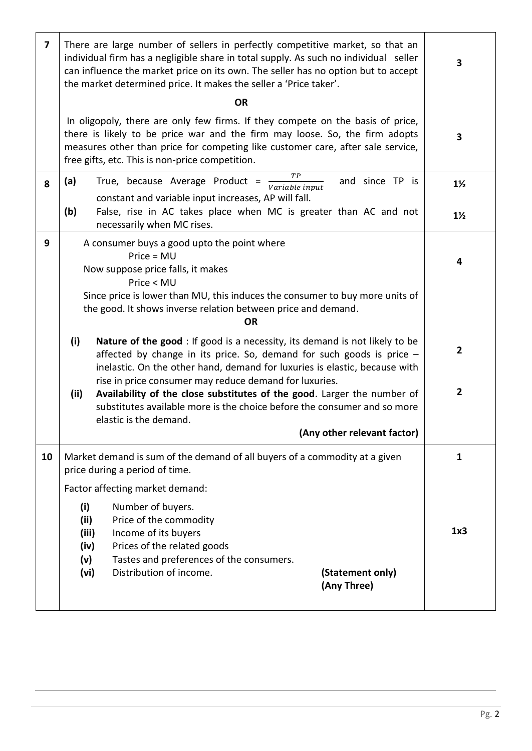| $\overline{\mathbf{z}}$ | There are large number of sellers in perfectly competitive market, so that an<br>individual firm has a negligible share in total supply. As such no individual seller<br>can influence the market price on its own. The seller has no option but to accept<br>the market determined price. It makes the seller a 'Price taker'. | 3              |
|-------------------------|---------------------------------------------------------------------------------------------------------------------------------------------------------------------------------------------------------------------------------------------------------------------------------------------------------------------------------|----------------|
|                         | <b>OR</b>                                                                                                                                                                                                                                                                                                                       |                |
|                         | In oligopoly, there are only few firms. If they compete on the basis of price,<br>there is likely to be price war and the firm may loose. So, the firm adopts<br>measures other than price for competing like customer care, after sale service,<br>free gifts, etc. This is non-price competition.                             | 3              |
| 8                       | TР<br>(a)<br>True, because Average Product =<br>and since TP is<br>Variable input<br>constant and variable input increases, AP will fall.                                                                                                                                                                                       | $1\frac{1}{2}$ |
|                         | (b)<br>False, rise in AC takes place when MC is greater than AC and not<br>necessarily when MC rises.                                                                                                                                                                                                                           | $1\frac{1}{2}$ |
| 9                       | A consumer buys a good upto the point where<br>$Price = MU$<br>Now suppose price falls, it makes<br>Price < MU                                                                                                                                                                                                                  | 4              |
|                         | Since price is lower than MU, this induces the consumer to buy more units of<br>the good. It shows inverse relation between price and demand.<br><b>OR</b>                                                                                                                                                                      |                |
|                         | (i)<br><b>Nature of the good</b> : If good is a necessity, its demand is not likely to be<br>affected by change in its price. So, demand for such goods is price $-$<br>inelastic. On the other hand, demand for luxuries is elastic, because with<br>rise in price consumer may reduce demand for luxuries.                    | $\overline{2}$ |
|                         | Availability of the close substitutes of the good. Larger the number of<br>(ii)<br>substitutes available more is the choice before the consumer and so more<br>elastic is the demand.                                                                                                                                           | $\overline{2}$ |
|                         | (Any other relevant factor)                                                                                                                                                                                                                                                                                                     |                |
| 10                      | Market demand is sum of the demand of all buyers of a commodity at a given<br>price during a period of time.                                                                                                                                                                                                                    | 1              |
|                         | Factor affecting market demand:                                                                                                                                                                                                                                                                                                 |                |
|                         | (i)<br>Number of buyers.<br>Price of the commodity<br>(ii)<br>Income of its buyers<br>(iii)<br>Prices of the related goods<br>(iv)<br>Tastes and preferences of the consumers.<br>(v)                                                                                                                                           | 1x3            |
|                         | Distribution of income.<br>(vi)<br>(Statement only)<br>(Any Three)                                                                                                                                                                                                                                                              |                |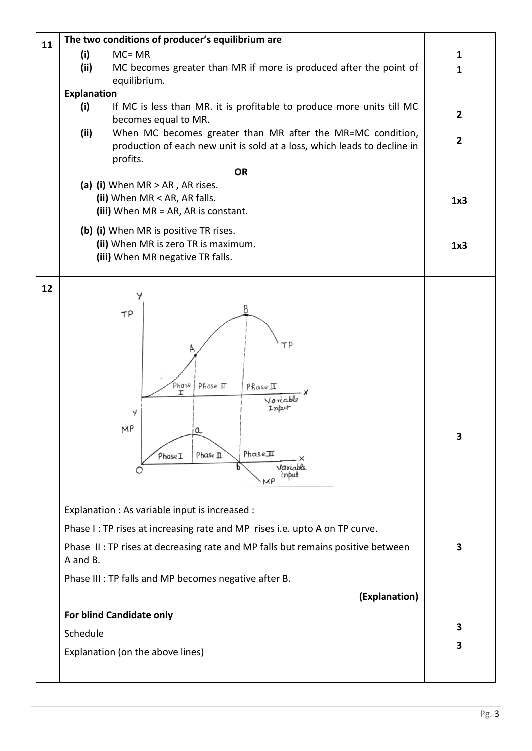| 11 | The two conditions of producer's equilibrium are                                                   |                |
|----|----------------------------------------------------------------------------------------------------|----------------|
|    | (i)<br>$MC = MR$                                                                                   | 1              |
|    | (ii)<br>MC becomes greater than MR if more is produced after the point of                          | $\mathbf{1}$   |
|    | equilibrium.                                                                                       |                |
|    | <b>Explanation</b><br>(i)<br>If MC is less than MR. it is profitable to produce more units till MC |                |
|    | becomes equal to MR.                                                                               | $\overline{2}$ |
|    | When MC becomes greater than MR after the MR=MC condition,<br>(ii)                                 |                |
|    | production of each new unit is sold at a loss, which leads to decline in                           | $\overline{2}$ |
|    | profits.<br><b>OR</b>                                                                              |                |
|    | (a) (i) When $MR > AR$ , AR rises.                                                                 |                |
|    | (ii) When MR < AR, AR falls.                                                                       | 1x3            |
|    | (iii) When $MR = AR$ , AR is constant.                                                             |                |
|    | (b) (i) When MR is positive TR rises.                                                              |                |
|    | (ii) When MR is zero TR is maximum.                                                                | 1x3            |
|    | (iii) When MR negative TR falls.                                                                   |                |
|    |                                                                                                    |                |
| 12 |                                                                                                    |                |
|    | TP                                                                                                 |                |
|    |                                                                                                    |                |
|    | гΡ                                                                                                 |                |
|    |                                                                                                    |                |
|    |                                                                                                    |                |
|    | Phase<br>Phase II<br>Phase III<br>I                                                                |                |
|    | Voriable<br>Input                                                                                  |                |
|    | Y                                                                                                  |                |
|    | MP<br>n                                                                                            | 3              |
|    | PhaseIII<br>Phase II<br>PhaseI                                                                     |                |
|    | Varcoble                                                                                           |                |
|    |                                                                                                    |                |
|    |                                                                                                    |                |
|    | Explanation : As variable input is increased :                                                     |                |
|    | Phase I: TP rises at increasing rate and MP rises i.e. upto A on TP curve.                         |                |
|    | Phase II: TP rises at decreasing rate and MP falls but remains positive between<br>A and B.        | 3              |
|    | Phase III : TP falls and MP becomes negative after B.                                              |                |
|    | (Explanation)                                                                                      |                |
|    | For blind Candidate only                                                                           |                |
|    | Schedule                                                                                           | 3              |
|    |                                                                                                    | 3              |
|    | Explanation (on the above lines)                                                                   |                |
|    |                                                                                                    |                |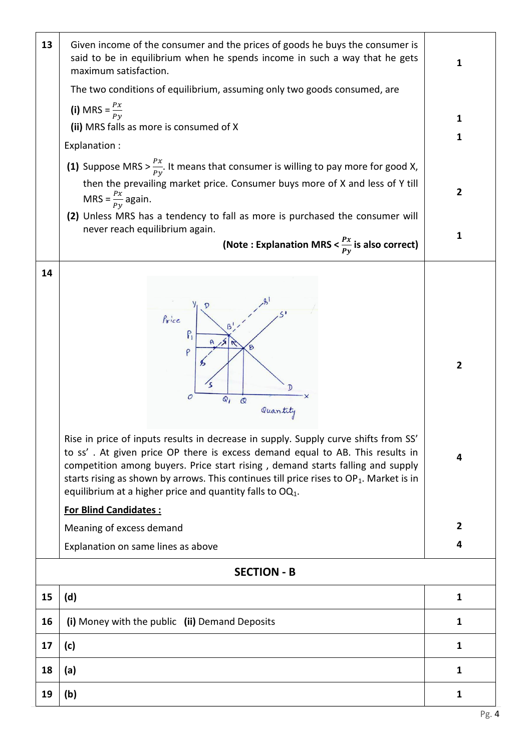| 13 | Given income of the consumer and the prices of goods he buys the consumer is<br>said to be in equilibrium when he spends income in such a way that he gets<br>maximum satisfaction.                                                                                                                                                                                                                                  | 1              |  |  |  |  |
|----|----------------------------------------------------------------------------------------------------------------------------------------------------------------------------------------------------------------------------------------------------------------------------------------------------------------------------------------------------------------------------------------------------------------------|----------------|--|--|--|--|
|    | The two conditions of equilibrium, assuming only two goods consumed, are                                                                                                                                                                                                                                                                                                                                             |                |  |  |  |  |
|    | (i) MRS = $\frac{Px}{Py}$<br>(ii) MRS falls as more is consumed of X                                                                                                                                                                                                                                                                                                                                                 | 1              |  |  |  |  |
|    | Explanation :                                                                                                                                                                                                                                                                                                                                                                                                        | 1              |  |  |  |  |
|    | (1) Suppose MRS > $\frac{Px}{Px}$ . It means that consumer is willing to pay more for good X,                                                                                                                                                                                                                                                                                                                        |                |  |  |  |  |
|    | then the prevailing market price. Consumer buys more of X and less of Y till<br>MRS = $\frac{Px}{Py}$ again.                                                                                                                                                                                                                                                                                                         | $\mathbf{2}$   |  |  |  |  |
|    | (2) Unless MRS has a tendency to fall as more is purchased the consumer will<br>never reach equilibrium again.                                                                                                                                                                                                                                                                                                       |                |  |  |  |  |
|    | (Note : Explanation MRS < $\frac{Px}{Px}$ is also correct)                                                                                                                                                                                                                                                                                                                                                           | 1              |  |  |  |  |
| 14 |                                                                                                                                                                                                                                                                                                                                                                                                                      |                |  |  |  |  |
|    |                                                                                                                                                                                                                                                                                                                                                                                                                      |                |  |  |  |  |
|    | Price<br>P<br>$\mathcal{O}$<br>$Q_i$<br>$\mathcal{Q}$<br>Quantity                                                                                                                                                                                                                                                                                                                                                    | $\overline{2}$ |  |  |  |  |
|    | Rise in price of inputs results in decrease in supply. Supply curve shifts from SS'<br>to ss'. At given price OP there is excess demand equal to AB. This results in<br>competition among buyers. Price start rising, demand starts falling and supply<br>starts rising as shown by arrows. This continues till price rises to $OP_1$ . Market is in<br>equilibrium at a higher price and quantity falls to $OQ_1$ . | 4              |  |  |  |  |
|    | <b>For Blind Candidates:</b>                                                                                                                                                                                                                                                                                                                                                                                         |                |  |  |  |  |
|    | Meaning of excess demand                                                                                                                                                                                                                                                                                                                                                                                             | $\overline{2}$ |  |  |  |  |
|    | Explanation on same lines as above                                                                                                                                                                                                                                                                                                                                                                                   | 4              |  |  |  |  |
|    | <b>SECTION - B</b>                                                                                                                                                                                                                                                                                                                                                                                                   |                |  |  |  |  |
| 15 | (d)                                                                                                                                                                                                                                                                                                                                                                                                                  | 1              |  |  |  |  |
| 16 | (i) Money with the public (ii) Demand Deposits                                                                                                                                                                                                                                                                                                                                                                       | 1              |  |  |  |  |
| 17 | (c)                                                                                                                                                                                                                                                                                                                                                                                                                  | 1              |  |  |  |  |
| 18 | (a)                                                                                                                                                                                                                                                                                                                                                                                                                  | 1              |  |  |  |  |
| 19 | (b)                                                                                                                                                                                                                                                                                                                                                                                                                  | 1              |  |  |  |  |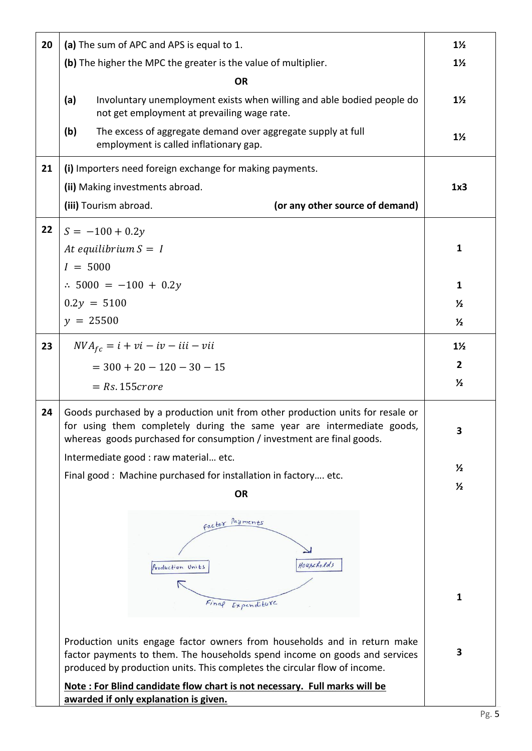| 20 | (a) The sum of APC and APS is equal to 1.                                                                                                                                                                                           | $1\frac{1}{2}$ |
|----|-------------------------------------------------------------------------------------------------------------------------------------------------------------------------------------------------------------------------------------|----------------|
|    | (b) The higher the MPC the greater is the value of multiplier.                                                                                                                                                                      | $1\frac{1}{2}$ |
|    | <b>OR</b>                                                                                                                                                                                                                           |                |
|    | (a)<br>Involuntary unemployment exists when willing and able bodied people do<br>not get employment at prevailing wage rate.                                                                                                        | $1\frac{1}{2}$ |
|    | The excess of aggregate demand over aggregate supply at full<br>(b)<br>employment is called inflationary gap.                                                                                                                       | $1\frac{1}{2}$ |
| 21 | (i) Importers need foreign exchange for making payments.                                                                                                                                                                            |                |
|    | (ii) Making investments abroad.                                                                                                                                                                                                     | 1x3            |
|    | (iii) Tourism abroad.<br>(or any other source of demand)                                                                                                                                                                            |                |
| 22 | $S = -100 + 0.2y$                                                                                                                                                                                                                   |                |
|    | At equilibrium $S = I$                                                                                                                                                                                                              | 1              |
|    | $I = 5000$                                                                                                                                                                                                                          |                |
|    | $\therefore$ 5000 = -100 + 0.2y                                                                                                                                                                                                     | $\mathbf{1}$   |
|    | $0.2y = 5100$                                                                                                                                                                                                                       | $\frac{1}{2}$  |
|    | $y = 25500$                                                                                                                                                                                                                         | $\frac{1}{2}$  |
| 23 | $NVA_{fc} = i + vi - iv - iii - vii$                                                                                                                                                                                                | $1\frac{1}{2}$ |
|    | $=$ 300 + 20 - 120 - 30 - 15                                                                                                                                                                                                        | $\overline{2}$ |
|    | $= Rs. 155 correct$                                                                                                                                                                                                                 | $\frac{1}{2}$  |
| 24 | Goods purchased by a production unit from other production units for resale or<br>for using them completely during the same year are intermediate goods,<br>whereas goods purchased for consumption / investment are final goods.   | 3              |
|    | Intermediate good : raw material etc.                                                                                                                                                                                               |                |
|    | Final good: Machine purchased for installation in factory etc.                                                                                                                                                                      | $\frac{1}{2}$  |
|    | <b>OR</b>                                                                                                                                                                                                                           | $\frac{1}{2}$  |
|    | factor Payments<br>Houscholds<br>Production Units                                                                                                                                                                                   |                |
|    | Final Expenditure                                                                                                                                                                                                                   | 1              |
|    | Production units engage factor owners from households and in return make<br>factor payments to them. The households spend income on goods and services<br>produced by production units. This completes the circular flow of income. | 3              |
|    | Note: For Blind candidate flow chart is not necessary. Full marks will be<br>awarded if only explanation is given.                                                                                                                  |                |